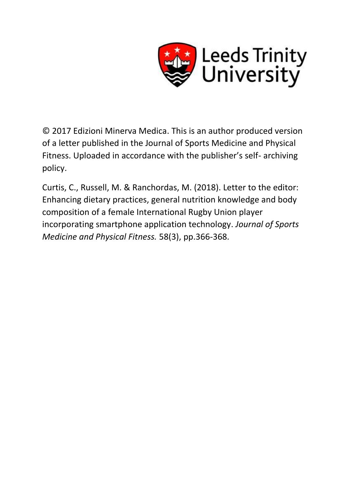

© 2017 Edizioni Minerva Medica. This is an author produced version of a letter published in the Journal of Sports Medicine and Physical Fitness. Uploaded in accordance with the publisher's self- archiving policy.

Curtis, C., Russell, M. & Ranchordas, M. (2018). Letter to the editor: Enhancing dietary practices, general nutrition knowledge and body composition of a female International Rugby Union player incorporating smartphone application technology. *Journal of Sports Medicine and Physical Fitness.* 58(3), pp.366-368.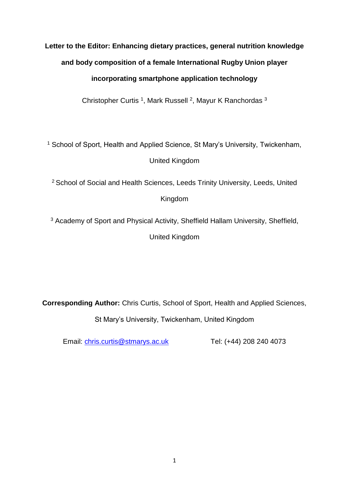# **Letter to the Editor: Enhancing dietary practices, general nutrition knowledge and body composition of a female International Rugby Union player incorporating smartphone application technology**

Christopher Curtis<sup>1</sup>, Mark Russell<sup>2</sup>, Mayur K Ranchordas<sup>3</sup>

<sup>1</sup> School of Sport, Health and Applied Science, St Mary's University, Twickenham, United Kingdom

<sup>2</sup> School of Social and Health Sciences, Leeds Trinity University, Leeds, United Kingdom

<sup>3</sup> Academy of Sport and Physical Activity, Sheffield Hallam University, Sheffield, United Kingdom

**Corresponding Author:** Chris Curtis, School of Sport, Health and Applied Sciences, St Mary's University, Twickenham, United Kingdom

Email: [chris.curtis@stmarys.ac.uk](mailto:chris.curtis@stmarys.ac.uk) Tel: (+44) 208 240 4073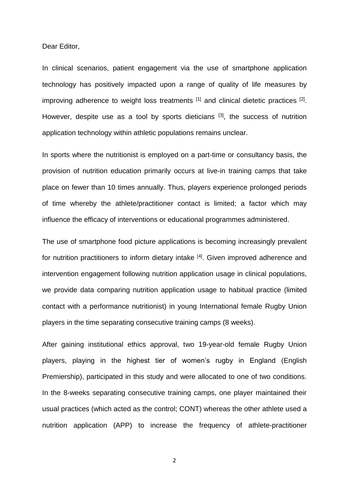Dear Editor,

In clinical scenarios, patient engagement via the use of smartphone application technology has positively impacted upon a range of quality of life measures by improving adherence to weight loss treatments  $[1]$  and clinical dietetic practices  $[2]$ . However, despite use as a tool by sports dieticians  $[3]$ , the success of nutrition application technology within athletic populations remains unclear.

In sports where the nutritionist is employed on a part-time or consultancy basis, the provision of nutrition education primarily occurs at live-in training camps that take place on fewer than 10 times annually. Thus, players experience prolonged periods of time whereby the athlete/practitioner contact is limited; a factor which may influence the efficacy of interventions or educational programmes administered.

The use of smartphone food picture applications is becoming increasingly prevalent for nutrition practitioners to inform dietary intake [4]. Given improved adherence and intervention engagement following nutrition application usage in clinical populations, we provide data comparing nutrition application usage to habitual practice (limited contact with a performance nutritionist) in young International female Rugby Union players in the time separating consecutive training camps (8 weeks).

After gaining institutional ethics approval, two 19-year-old female Rugby Union players, playing in the highest tier of women's rugby in England (English Premiership), participated in this study and were allocated to one of two conditions. In the 8-weeks separating consecutive training camps, one player maintained their usual practices (which acted as the control; CONT) whereas the other athlete used a nutrition application (APP) to increase the frequency of athlete-practitioner

2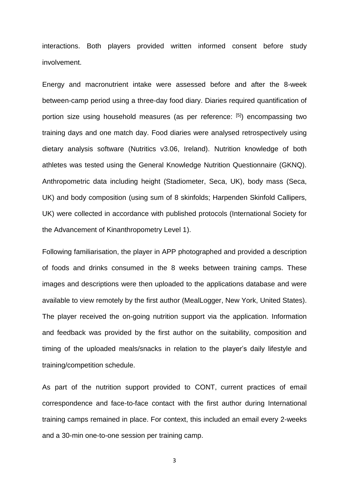interactions. Both players provided written informed consent before study involvement.

Energy and macronutrient intake were assessed before and after the 8-week between-camp period using a three-day food diary. Diaries required quantification of portion size using household measures (as per reference: [5]) encompassing two training days and one match day. Food diaries were analysed retrospectively using dietary analysis software (Nutritics v3.06, Ireland). Nutrition knowledge of both athletes was tested using the General Knowledge Nutrition Questionnaire (GKNQ). Anthropometric data including height (Stadiometer, Seca, UK), body mass (Seca, UK) and body composition (using sum of 8 skinfolds; Harpenden Skinfold Callipers, UK) were collected in accordance with published protocols (International Society for the Advancement of Kinanthropometry Level 1).

Following familiarisation, the player in APP photographed and provided a description of foods and drinks consumed in the 8 weeks between training camps. These images and descriptions were then uploaded to the applications database and were available to view remotely by the first author (MealLogger, New York, United States). The player received the on-going nutrition support via the application. Information and feedback was provided by the first author on the suitability, composition and timing of the uploaded meals/snacks in relation to the player's daily lifestyle and training/competition schedule.

As part of the nutrition support provided to CONT, current practices of email correspondence and face-to-face contact with the first author during International training camps remained in place. For context, this included an email every 2-weeks and a 30-min one-to-one session per training camp.

3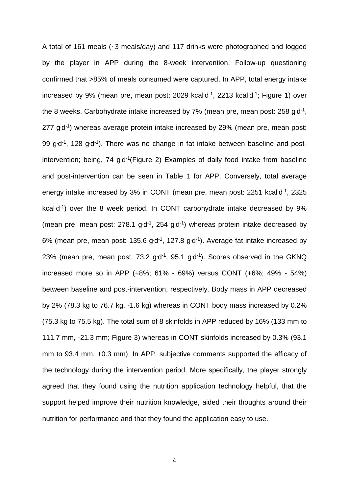A total of 161 meals (~3 meals/day) and 117 drinks were photographed and logged by the player in APP during the 8-week intervention. Follow-up questioning confirmed that >85% of meals consumed were captured. In APP, total energy intake increased by 9% (mean pre, mean post: 2029 kcal $d<sup>-1</sup>$ , 2213 kcal $d<sup>-1</sup>$ ; Figure 1) over the 8 weeks. Carbohydrate intake increased by  $7\%$  (mean pre, mean post: 258 g·d<sup>-1</sup>, 277 g<sup>d-1</sup>) whereas average protein intake increased by 29% (mean pre, mean post: 99  $gd^{-1}$ , 128  $gd^{-1}$ ). There was no change in fat intake between baseline and postintervention; being, 74  $gd^{-1}$ (Figure 2) Examples of daily food intake from baseline and post-intervention can be seen in Table 1 for APP. Conversely, total average energy intake increased by 3% in CONT (mean pre, mean post: 2251 kcal $d^1$ , 2325 kcal<sup>-1</sup>) over the 8 week period. In CONT carbohydrate intake decreased by 9% (mean pre, mean post:  $278.1$  g $d^{-1}$ ,  $254$  g $d^{-1}$ ) whereas protein intake decreased by 6% (mean pre, mean post: 135.6  $gd^{-1}$ , 127.8  $gd^{-1}$ ). Average fat intake increased by 23% (mean pre, mean post:  $73.2$  g $d<sup>-1</sup>$ ,  $95.1$  g $d<sup>-1</sup>$ ). Scores observed in the GKNQ increased more so in APP (+8%; 61% - 69%) versus CONT (+6%; 49% - 54%) between baseline and post-intervention, respectively. Body mass in APP decreased by 2% (78.3 kg to 76.7 kg, -1.6 kg) whereas in CONT body mass increased by 0.2% (75.3 kg to 75.5 kg). The total sum of 8 skinfolds in APP reduced by 16% (133 mm to 111.7 mm, -21.3 mm; Figure 3) whereas in CONT skinfolds increased by 0.3% (93.1 mm to 93.4 mm, +0.3 mm). In APP, subjective comments supported the efficacy of the technology during the intervention period. More specifically, the player strongly agreed that they found using the nutrition application technology helpful, that the support helped improve their nutrition knowledge, aided their thoughts around their nutrition for performance and that they found the application easy to use.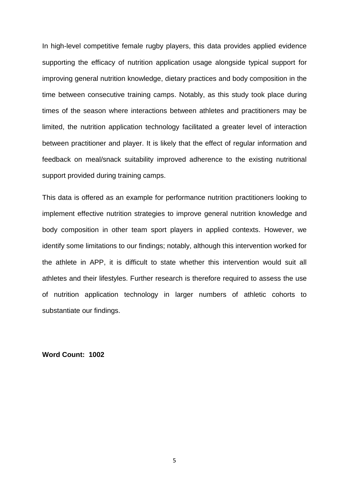In high-level competitive female rugby players, this data provides applied evidence supporting the efficacy of nutrition application usage alongside typical support for improving general nutrition knowledge, dietary practices and body composition in the time between consecutive training camps. Notably, as this study took place during times of the season where interactions between athletes and practitioners may be limited, the nutrition application technology facilitated a greater level of interaction between practitioner and player. It is likely that the effect of regular information and feedback on meal/snack suitability improved adherence to the existing nutritional support provided during training camps.

This data is offered as an example for performance nutrition practitioners looking to implement effective nutrition strategies to improve general nutrition knowledge and body composition in other team sport players in applied contexts. However, we identify some limitations to our findings; notably, although this intervention worked for the athlete in APP, it is difficult to state whether this intervention would suit all athletes and their lifestyles. Further research is therefore required to assess the use of nutrition application technology in larger numbers of athletic cohorts to substantiate our findings.

**Word Count: 1002**

5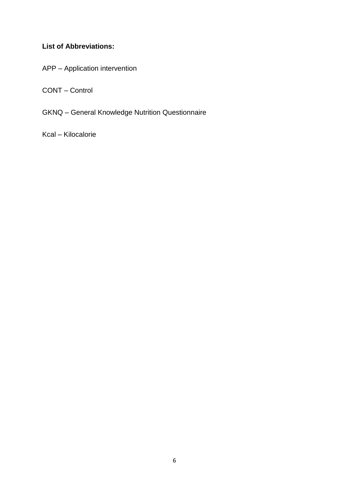# **List of Abbreviations:**

APP – Application intervention

CONT – Control

GKNQ – General Knowledge Nutrition Questionnaire

Kcal – Kilocalorie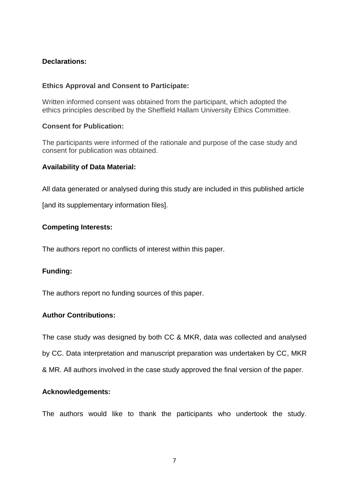## **Declarations:**

### **Ethics Approval and Consent to Participate:**

Written informed consent was obtained from the participant, which adopted the ethics principles described by the Sheffield Hallam University Ethics Committee.

### **Consent for Publication:**

The participants were informed of the rationale and purpose of the case study and consent for publication was obtained.

### **Availability of Data Material:**

All data generated or analysed during this study are included in this published article

[and its supplementary information files].

### **Competing Interests:**

The authors report no conflicts of interest within this paper.

### **Funding:**

The authors report no funding sources of this paper.

### **Author Contributions:**

The case study was designed by both CC & MKR, data was collected and analysed by CC. Data interpretation and manuscript preparation was undertaken by CC, MKR & MR. All authors involved in the case study approved the final version of the paper.

#### **Acknowledgements:**

The authors would like to thank the participants who undertook the study.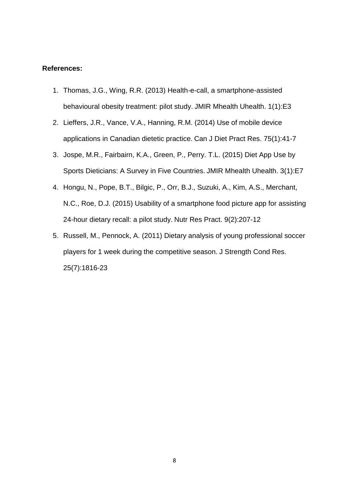#### **References:**

- 1. Thomas, J.G., Wing, R.R. (2013) Health-e-call, a smartphone-assisted behavioural obesity treatment: pilot study. JMIR Mhealth Uhealth. 1(1):E3
- 2. Lieffers, J.R., Vance, V.A., Hanning, R.M. (2014) Use of mobile device applications in Canadian dietetic practice. Can J Diet Pract Res. 75(1):41-7
- 3. Jospe, M.R., Fairbairn, K.A., Green, P., Perry. T.L. (2015) Diet App Use by Sports Dieticians: A Survey in Five Countries. JMIR Mhealth Uhealth. 3(1):E7
- 4. Hongu, N., Pope, B.T., Bilgic, P., Orr, B.J., Suzuki, A., Kim, A.S., Merchant, N.C., Roe, D.J. (2015) Usability of a smartphone food picture app for assisting 24-hour dietary recall: a pilot study. Nutr Res Pract. 9(2):207-12
- 5. Russell, M., Pennock, A. (2011) Dietary analysis of young professional soccer players for 1 week during the competitive season. J Strength Cond Res. 25(7):1816-23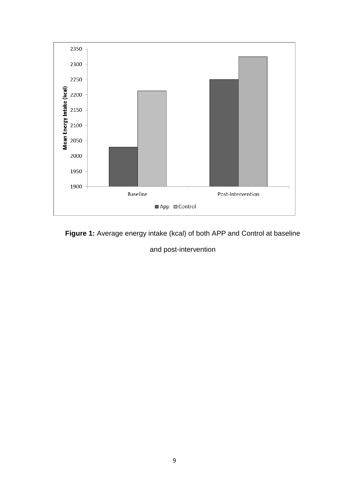

**Figure 1:** Average energy intake (kcal) of both APP and Control at baseline

and post-intervention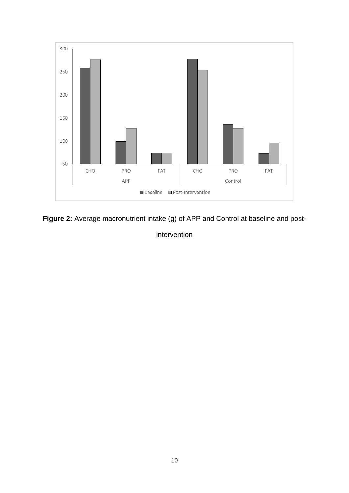

**Figure 2:** Average macronutrient intake (g) of APP and Control at baseline and post-

intervention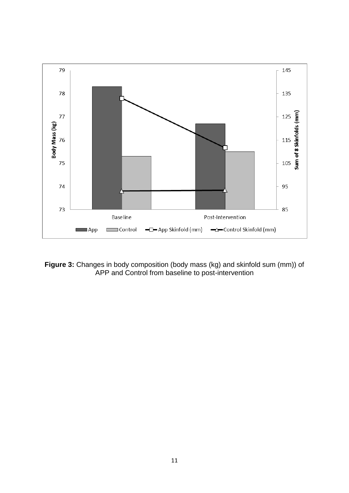

**Figure 3:** Changes in body composition (body mass (kg) and skinfold sum (mm)) of APP and Control from baseline to post-intervention